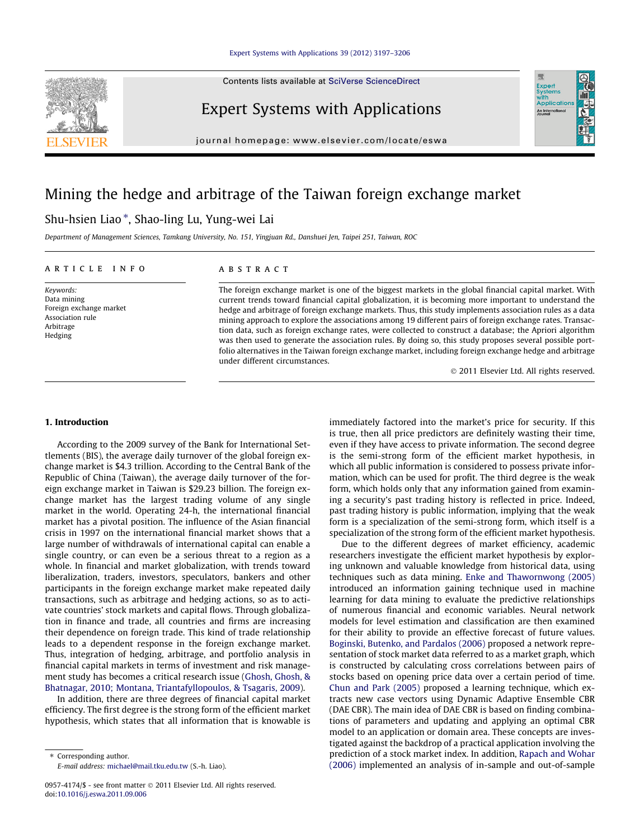#### [Expert Systems with Applications 39 \(2012\) 3197–3206](http://dx.doi.org/10.1016/j.eswa.2011.09.006)

Contents lists available at [SciVerse ScienceDirect](http://www.sciencedirect.com/science/journal/09574174)



## Expert Systems with Applications

journal homepage: [www.elsevier.com/locate/eswa](http://www.elsevier.com/locate/eswa)

# Mining the hedge and arbitrage of the Taiwan foreign exchange market

## Shu-hsien Liao \*, Shao-ling Lu, Yung-wei Lai

Department of Management Sciences, Tamkang University, No. 151, Yingjuan Rd., Danshuei Jen, Taipei 251, Taiwan, ROC

#### article info

Keywords: Data mining Foreign exchange market Association rule Arbitrage Hedging

### ABSTRACT

The foreign exchange market is one of the biggest markets in the global financial capital market. With current trends toward financial capital globalization, it is becoming more important to understand the hedge and arbitrage of foreign exchange markets. Thus, this study implements association rules as a data mining approach to explore the associations among 19 different pairs of foreign exchange rates. Transaction data, such as foreign exchange rates, were collected to construct a database; the Apriori algorithm was then used to generate the association rules. By doing so, this study proposes several possible portfolio alternatives in the Taiwan foreign exchange market, including foreign exchange hedge and arbitrage under different circumstances.

- 2011 Elsevier Ltd. All rights reserved.

Expert<br>Syster Applicatio An Interna

#### 1. Introduction

According to the 2009 survey of the Bank for International Settlements (BIS), the average daily turnover of the global foreign exchange market is \$4.3 trillion. According to the Central Bank of the Republic of China (Taiwan), the average daily turnover of the foreign exchange market in Taiwan is \$29.23 billion. The foreign exchange market has the largest trading volume of any single market in the world. Operating 24-h, the international financial market has a pivotal position. The influence of the Asian financial crisis in 1997 on the international financial market shows that a large number of withdrawals of international capital can enable a single country, or can even be a serious threat to a region as a whole. In financial and market globalization, with trends toward liberalization, traders, investors, speculators, bankers and other participants in the foreign exchange market make repeated daily transactions, such as arbitrage and hedging actions, so as to activate countries' stock markets and capital flows. Through globalization in finance and trade, all countries and firms are increasing their dependence on foreign trade. This kind of trade relationship leads to a dependent response in the foreign exchange market. Thus, integration of hedging, arbitrage, and portfolio analysis in financial capital markets in terms of investment and risk management study has becomes a critical research issue ([Ghosh, Ghosh, &](#page--1-0) [Bhatnagar, 2010; Montana, Triantafyllopoulos, & Tsagaris, 2009\)](#page--1-0).

In addition, there are three degrees of financial capital market efficiency. The first degree is the strong form of the efficient market hypothesis, which states that all information that is knowable is

\* Corresponding author. E-mail address: [michael@mail.tku.edu.tw](mailto:michael@mail.tku.edu.tw) (S.-h. Liao). immediately factored into the market's price for security. If this is true, then all price predictors are definitely wasting their time, even if they have access to private information. The second degree is the semi-strong form of the efficient market hypothesis, in which all public information is considered to possess private information, which can be used for profit. The third degree is the weak form, which holds only that any information gained from examining a security's past trading history is reflected in price. Indeed, past trading history is public information, implying that the weak form is a specialization of the semi-strong form, which itself is a specialization of the strong form of the efficient market hypothesis.

Due to the different degrees of market efficiency, academic researchers investigate the efficient market hypothesis by exploring unknown and valuable knowledge from historical data, using techniques such as data mining. [Enke and Thawornwong \(2005\)](#page--1-0) introduced an information gaining technique used in machine learning for data mining to evaluate the predictive relationships of numerous financial and economic variables. Neural network models for level estimation and classification are then examined for their ability to provide an effective forecast of future values. [Boginski, Butenko, and Pardalos \(2006\)](#page--1-0) proposed a network representation of stock market data referred to as a market graph, which is constructed by calculating cross correlations between pairs of stocks based on opening price data over a certain period of time. [Chun and Park \(2005\)](#page--1-0) proposed a learning technique, which extracts new case vectors using Dynamic Adaptive Ensemble CBR (DAE CBR). The main idea of DAE CBR is based on finding combinations of parameters and updating and applying an optimal CBR model to an application or domain area. These concepts are investigated against the backdrop of a practical application involving the prediction of a stock market index. In addition, [Rapach and Wohar](#page--1-0) [\(2006\)](#page--1-0) implemented an analysis of in-sample and out-of-sample

<sup>0957-4174/\$ -</sup> see front matter © 2011 Elsevier Ltd. All rights reserved. doi[:10.1016/j.eswa.2011.09.006](http://dx.doi.org/10.1016/j.eswa.2011.09.006)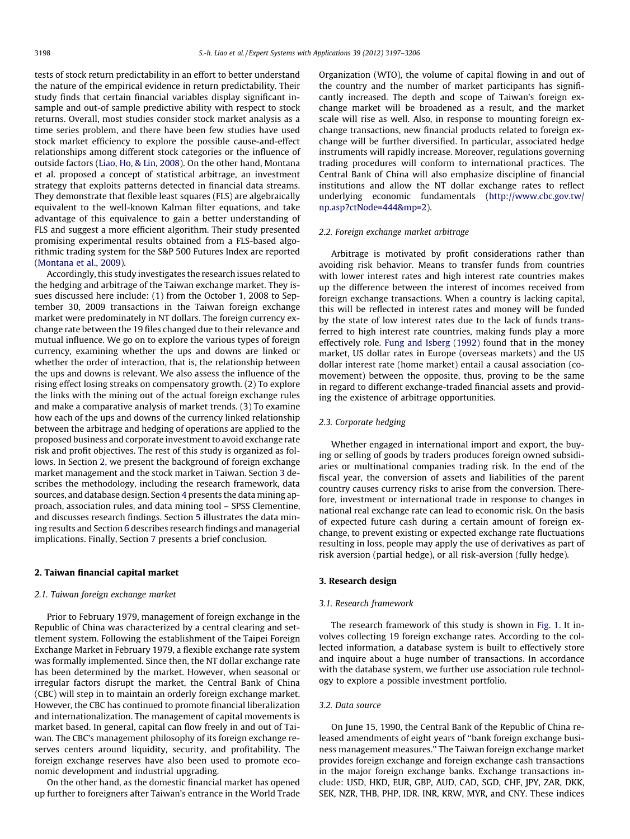tests of stock return predictability in an effort to better understand the nature of the empirical evidence in return predictability. Their study finds that certain financial variables display significant insample and out-of sample predictive ability with respect to stock returns. Overall, most studies consider stock market analysis as a time series problem, and there have been few studies have used stock market efficiency to explore the possible cause-and-effect relationships among different stock categories or the influence of outside factors [\(Liao, Ho, & Lin, 2008](#page--1-0)). On the other hand, Montana et al. proposed a concept of statistical arbitrage, an investment strategy that exploits patterns detected in financial data streams. They demonstrate that flexible least squares (FLS) are algebraically equivalent to the well-known Kalman filter equations, and take advantage of this equivalence to gain a better understanding of FLS and suggest a more efficient algorithm. Their study presented promising experimental results obtained from a FLS-based algorithmic trading system for the S&P 500 Futures Index are reported ([Montana et al., 2009](#page--1-0)).

Accordingly, this study investigates the research issues related to the hedging and arbitrage of the Taiwan exchange market. They issues discussed here include: (1) from the October 1, 2008 to September 30, 2009 transactions in the Taiwan foreign exchange market were predominately in NT dollars. The foreign currency exchange rate between the 19 files changed due to their relevance and mutual influence. We go on to explore the various types of foreign currency, examining whether the ups and downs are linked or whether the order of interaction, that is, the relationship between the ups and downs is relevant. We also assess the influence of the rising effect losing streaks on compensatory growth. (2) To explore the links with the mining out of the actual foreign exchange rules and make a comparative analysis of market trends. (3) To examine how each of the ups and downs of the currency linked relationship between the arbitrage and hedging of operations are applied to the proposed business and corporate investment to avoid exchange rate risk and profit objectives. The rest of this study is organized as follows. In Section 2, we present the background of foreign exchange market management and the stock market in Taiwan. Section 3 describes the methodology, including the research framework, data sources, and database design. Section [4](#page--1-0) presents the data mining approach, association rules, and data mining tool – SPSS Clementine, and discusses research findings. Section [5](#page--1-0) illustrates the data mining results and Section [6](#page--1-0) describes research findings and managerial implications. Finally, Section [7](#page--1-0) presents a brief conclusion.

#### 2. Taiwan financial capital market

#### 2.1. Taiwan foreign exchange market

Prior to February 1979, management of foreign exchange in the Republic of China was characterized by a central clearing and settlement system. Following the establishment of the Taipei Foreign Exchange Market in February 1979, a flexible exchange rate system was formally implemented. Since then, the NT dollar exchange rate has been determined by the market. However, when seasonal or irregular factors disrupt the market, the Central Bank of China (CBC) will step in to maintain an orderly foreign exchange market. However, the CBC has continued to promote financial liberalization and internationalization. The management of capital movements is market based. In general, capital can flow freely in and out of Taiwan. The CBC's management philosophy of its foreign exchange reserves centers around liquidity, security, and profitability. The foreign exchange reserves have also been used to promote economic development and industrial upgrading.

On the other hand, as the domestic financial market has opened up further to foreigners after Taiwan's entrance in the World Trade Organization (WTO), the volume of capital flowing in and out of the country and the number of market participants has significantly increased. The depth and scope of Taiwan's foreign exchange market will be broadened as a result, and the market scale will rise as well. Also, in response to mounting foreign exchange transactions, new financial products related to foreign exchange will be further diversified. In particular, associated hedge instruments will rapidly increase. Moreover, regulations governing trading procedures will conform to international practices. The Central Bank of China will also emphasize discipline of financial institutions and allow the NT dollar exchange rates to reflect underlying economic fundamentals [\(http://www.cbc.gov.tw/](http://www.cbc.gov.tw/np.asp?ctNode=444&mp=2) [np.asp?ctNode=444&mp=2\)](http://www.cbc.gov.tw/np.asp?ctNode=444&mp=2).

#### 2.2. Foreign exchange market arbitrage

Arbitrage is motivated by profit considerations rather than avoiding risk behavior. Means to transfer funds from countries with lower interest rates and high interest rate countries makes up the difference between the interest of incomes received from foreign exchange transactions. When a country is lacking capital, this will be reflected in interest rates and money will be funded by the state of low interest rates due to the lack of funds transferred to high interest rate countries, making funds play a more effectively role. [Fung and Isberg \(1992\)](#page--1-0) found that in the money market, US dollar rates in Europe (overseas markets) and the US dollar interest rate (home market) entail a causal association (comovement) between the opposite, thus, proving to be the same in regard to different exchange-traded financial assets and providing the existence of arbitrage opportunities.

#### 2.3. Corporate hedging

Whether engaged in international import and export, the buying or selling of goods by traders produces foreign owned subsidiaries or multinational companies trading risk. In the end of the fiscal year, the conversion of assets and liabilities of the parent country causes currency risks to arise from the conversion. Therefore, investment or international trade in response to changes in national real exchange rate can lead to economic risk. On the basis of expected future cash during a certain amount of foreign exchange, to prevent existing or expected exchange rate fluctuations resulting in loss, people may apply the use of derivatives as part of risk aversion (partial hedge), or all risk-aversion (fully hedge).

#### 3. Research design

#### 3.1. Research framework

The research framework of this study is shown in [Fig. 1.](#page--1-0) It involves collecting 19 foreign exchange rates. According to the collected information, a database system is built to effectively store and inquire about a huge number of transactions. In accordance with the database system, we further use association rule technology to explore a possible investment portfolio.

#### 3.2. Data source

On June 15, 1990, the Central Bank of the Republic of China released amendments of eight years of ''bank foreign exchange business management measures.'' The Taiwan foreign exchange market provides foreign exchange and foreign exchange cash transactions in the major foreign exchange banks. Exchange transactions include: USD, HKD, EUR, GBP, AUD, CAD, SGD, CHF, JPY, ZAR, DKK, SEK, NZR, THB, PHP, IDR. INR, KRW, MYR, and CNY. These indices